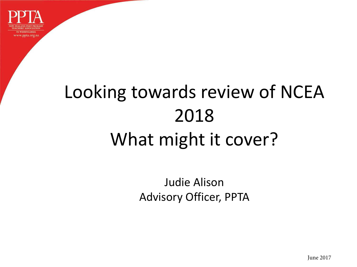

## Looking towards review of NCEA 2018 What might it cover?

Judie Alison Advisory Officer, PPTA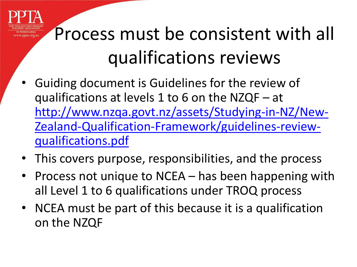### Process must be consistent with all qualifications reviews

- Guiding document is Guidelines for the review of qualifications at levels 1 to 6 on the NZQF – at [http://www.nzqa.govt.nz/assets/Studying-in-NZ/New-](http://www.nzqa.govt.nz/assets/Studying-in-NZ/New-Zealand-Qualification-Framework/guidelines-review-qualifications.pdf)[Zealand-Qualification-Framework/guidelines-review](http://www.nzqa.govt.nz/assets/Studying-in-NZ/New-Zealand-Qualification-Framework/guidelines-review-qualifications.pdf)[qualifications.pdf](http://www.nzqa.govt.nz/assets/Studying-in-NZ/New-Zealand-Qualification-Framework/guidelines-review-qualifications.pdf)
- This covers purpose, responsibilities, and the process
- Process not unique to NCEA has been happening with all Level 1 to 6 qualifications under TROQ process
- NCEA must be part of this because it is a qualification on the NZQF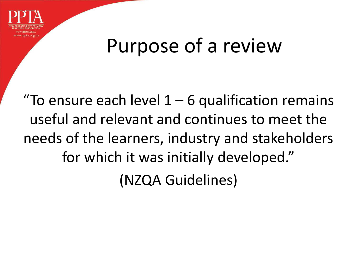

### Purpose of a review

"To ensure each level  $1 - 6$  qualification remains useful and relevant and continues to meet the needs of the learners, industry and stakeholders for which it was initially developed." (NZQA Guidelines)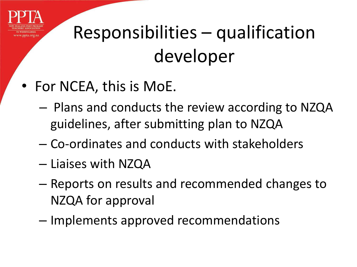

## Responsibilities – qualification developer

- For NCEA, this is MoE.
	- Plans and conducts the review according to NZQA guidelines, after submitting plan to NZQA
	- Co-ordinates and conducts with stakeholders
	- Liaises with NZQA
	- Reports on results and recommended changes to NZQA for approval
	- Implements approved recommendations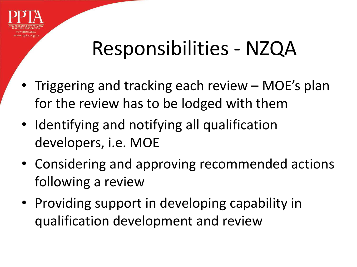

#### Responsibilities - NZQA

- Triggering and tracking each review MOE's plan for the review has to be lodged with them
- Identifying and notifying all qualification developers, i.e. MOE
- Considering and approving recommended actions following a review
- Providing support in developing capability in qualification development and review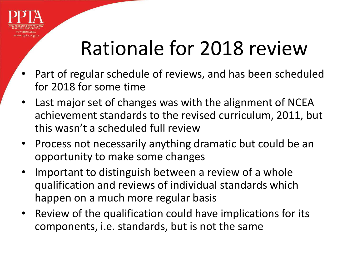

### Rationale for 2018 review

- Part of regular schedule of reviews, and has been scheduled for 2018 for some time
- Last major set of changes was with the alignment of NCEA achievement standards to the revised curriculum, 2011, but this wasn't a scheduled full review
- Process not necessarily anything dramatic but could be an opportunity to make some changes
- Important to distinguish between a review of a whole qualification and reviews of individual standards which happen on a much more regular basis
- Review of the qualification could have implications for its components, i.e. standards, but is not the same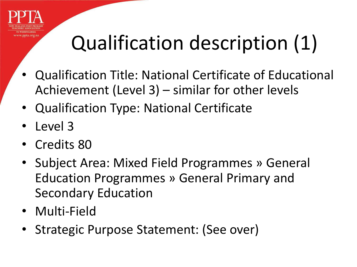

# Qualification description (1)

- Qualification Title: National Certificate of Educational Achievement (Level 3) – similar for other levels
- Qualification Type: National Certificate
- Level 3
- Credits 80
- Subject Area: Mixed Field Programmes » General Education Programmes » General Primary and Secondary Education
- Multi-Field
- Strategic Purpose Statement: (See over)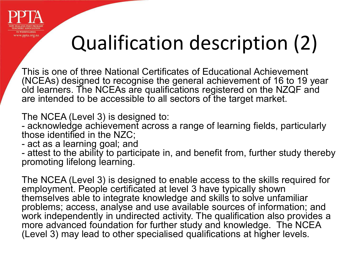

## Qualification description (2)

This is one of three National Certificates of Educational Achievement (NCEAs) designed to recognise the general achievement of 16 to 19 year old learners. The NCEAs are qualifications registered on the NZQF and are intended to be accessible to all sectors of the target market.

The NCEA (Level 3) is designed to:

- acknowledge achievement across a range of learning fields, particularly those identified in the NZC;

- act as a learning goal; and

- attest to the ability to participate in, and benefit from, further study thereby promoting lifelong learning.

The NCEA (Level 3) is designed to enable access to the skills required for employment. People certificated at level 3 have typically shown themselves able to integrate knowledge and skills to solve unfamiliar problems; access, analyse and use available sources of information; and work independently in undirected activity. The qualification also provides a more advanced foundation for further study and knowledge. The NCEA (Level 3) may lead to other specialised qualifications at higher levels.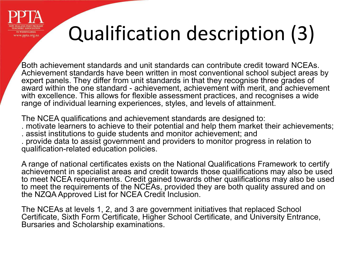

## Qualification description (3)

Both achievement standards and unit standards can contribute credit toward NCEAs. Achievement standards have been written in most conventional school subject areas by expert panels. They differ from unit standards in that they recognise three grades of award within the one standard - achievement, achievement with merit, and achievement with excellence. This allows for flexible assessment practices, and recognises a wide range of individual learning experiences, styles, and levels of attainment.

The NCEA qualifications and achievement standards are designed to: . motivate learners to achieve to their potential and help them market their achievements; . assist institutions to guide students and monitor achievement; and . provide data to assist government and providers to monitor progress in relation to qualification-related education policies.

A range of national certificates exists on the National Qualifications Framework to certify achievement in specialist areas and credit towards those qualifications may also be used to meet NCEA requirements. Credit gained towards other qualifications may also be used to meet the requirements of the NCEAs, provided they are both quality assured and on the NZQA Approved List for NCEA Credit Inclusion.

The NCEAs at levels 1, 2, and 3 are government initiatives that replaced School Certificate, Sixth Form Certificate, Higher School Certificate, and University Entrance, Bursaries and Scholarship examinations.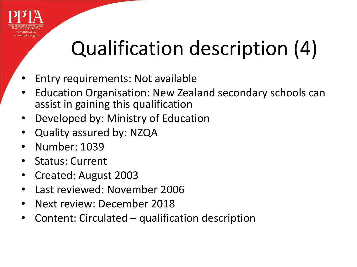

## Qualification description (4)

- Entry requirements: Not available
- Education Organisation: New Zealand secondary schools can assist in gaining this qualification
- Developed by: Ministry of Education
- Quality assured by: NZQA
- Number: 1039
- Status: Current
- Created: August 2003
- Last reviewed: November 2006
- Next review: December 2018
- Content: Circulated qualification description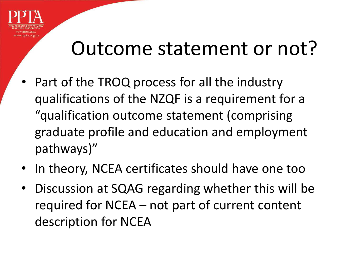

#### Outcome statement or not?

- Part of the TROQ process for all the industry qualifications of the NZQF is a requirement for a "qualification outcome statement (comprising graduate profile and education and employment pathways)"
- In theory, NCEA certificates should have one too
- Discussion at SQAG regarding whether this will be required for NCEA – not part of current content description for NCEA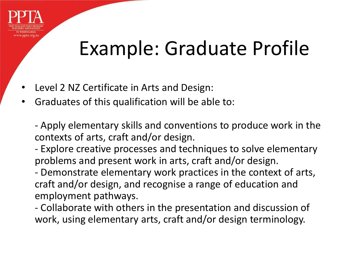

#### Example: Graduate Profile

- Level 2 NZ Certificate in Arts and Design:
- Graduates of this qualification will be able to:

- Apply elementary skills and conventions to produce work in the contexts of arts, craft and/or design.

- Explore creative processes and techniques to solve elementary problems and present work in arts, craft and/or design.

- Demonstrate elementary work practices in the context of arts, craft and/or design, and recognise a range of education and employment pathways.

- Collaborate with others in the presentation and discussion of work, using elementary arts, craft and/or design terminology.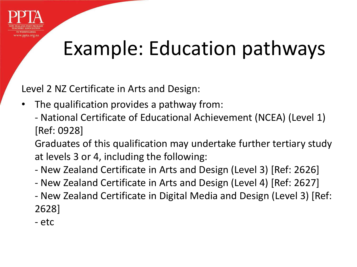

### Example: Education pathways

Level 2 NZ Certificate in Arts and Design:

- The qualification provides a pathway from:
	- National Certificate of Educational Achievement (NCEA) (Level 1) [Ref: 0928]

Graduates of this qualification may undertake further tertiary study at levels 3 or 4, including the following:

- New Zealand Certificate in Arts and Design (Level 3) [Ref: 2626]
- New Zealand Certificate in Arts and Design (Level 4) [Ref: 2627]
- New Zealand Certificate in Digital Media and Design (Level 3) [Ref: 2628]
- etc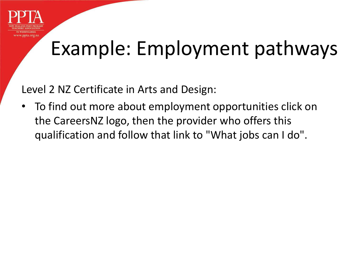

### Example: Employment pathways

Level 2 NZ Certificate in Arts and Design:

• To find out more about employment opportunities click on the CareersNZ logo, then the provider who offers this qualification and follow that link to "What jobs can I do".